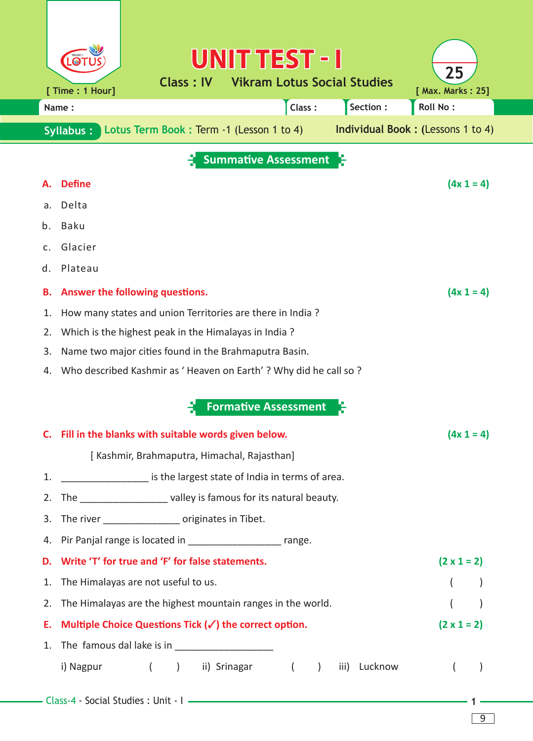|                             | UNIT TEST - I                                                          | 25                                       |  |  |  |  |
|-----------------------------|------------------------------------------------------------------------|------------------------------------------|--|--|--|--|
|                             | <b>Vikram Lotus Social Studies</b><br>Class: IV<br>[ Time : 1 Hour]    | [ Max. Marks: 25]                        |  |  |  |  |
|                             | Section:<br>Class:<br>Name:                                            | <b>Roll No:</b>                          |  |  |  |  |
|                             | Lotus Term Book: Term -1 (Lesson 1 to 4)<br>Syllabus:                  | <b>Individual Book: (Lessons 1 to 4)</b> |  |  |  |  |
| <b>Summative Assessment</b> |                                                                        |                                          |  |  |  |  |
|                             | <b>Define</b>                                                          | $(4x 1 = 4)$                             |  |  |  |  |
| a.                          | Delta                                                                  |                                          |  |  |  |  |
| b.                          | <b>Baku</b>                                                            |                                          |  |  |  |  |
| C.                          | Glacier                                                                |                                          |  |  |  |  |
| d.                          | Plateau                                                                |                                          |  |  |  |  |
| В.                          | Answer the following questions.                                        | $(4x 1 = 4)$                             |  |  |  |  |
| 1.                          | How many states and union Territories are there in India?              |                                          |  |  |  |  |
| 2.                          | Which is the highest peak in the Himalayas in India?                   |                                          |  |  |  |  |
| 3.                          | Name two major cities found in the Brahmaputra Basin.                  |                                          |  |  |  |  |
| 4.                          | Who described Kashmir as 'Heaven on Earth' ? Why did he call so ?      |                                          |  |  |  |  |
|                             | <b>Formative Assessment</b>                                            |                                          |  |  |  |  |
|                             |                                                                        |                                          |  |  |  |  |
|                             | C. Fill in the blanks with suitable words given below.                 | $(4x 1 = 4)$                             |  |  |  |  |
|                             | [ Kashmir, Brahmaputra, Himachal, Rajasthan]                           |                                          |  |  |  |  |
| 1.                          | ______________________ is the largest state of India in terms of area. |                                          |  |  |  |  |
|                             | 2. The _____________________ valley is famous for its natural beauty.  |                                          |  |  |  |  |
|                             | 3. The river __________________ originates in Tibet.                   |                                          |  |  |  |  |
|                             | 4. Pir Panjal range is located in _________________________ range.     |                                          |  |  |  |  |
| D.                          | Write 'T' for true and 'F' for false statements.                       | $(2 \times 1 = 2)$                       |  |  |  |  |
| 1.                          | The Himalayas are not useful to us.                                    |                                          |  |  |  |  |
| 2.                          | The Himalayas are the highest mountain ranges in the world.            |                                          |  |  |  |  |
| Е.                          | Multiple Choice Questions Tick $(\checkmark)$ the correct option.      | $(2 \times 1 = 2)$                       |  |  |  |  |
| 1.                          | i) Nagpur ( ) ii) Srinagar (<br>iii) Lucknow<br>$\rightarrow$          | $\overline{ }$                           |  |  |  |  |
|                             |                                                                        |                                          |  |  |  |  |